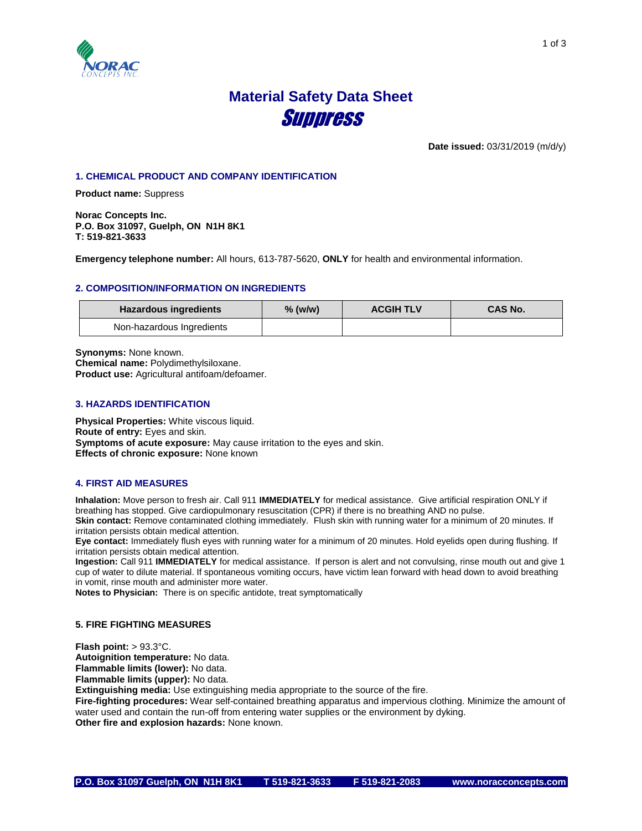

# **Material Safety Data Sheet** Suppress

**Date issued:** 03/31/2019 (m/d/y)

# **1. CHEMICAL PRODUCT AND COMPANY IDENTIFICATION**

**Product name:** Suppress

**Norac Concepts Inc. P.O. Box 31097, Guelph, ON N1H 8K1 T: 519-821-3633**

**Emergency telephone number:** All hours, 613-787-5620, **ONLY** for health and environmental information.

# **2. COMPOSITION/INFORMATION ON INGREDIENTS**

| <b>Hazardous ingredients</b> | $%$ (w/w) | <b>ACGIH TLV</b> | <b>CAS No.</b> |
|------------------------------|-----------|------------------|----------------|
| Non-hazardous Ingredients    |           |                  |                |

**Synonyms:** None known. **Chemical name:** Polydimethylsiloxane. **Product use:** Agricultural antifoam/defoamer.

# **3. HAZARDS IDENTIFICATION**

**Physical Properties:** White viscous liquid. **Route of entry:** Eyes and skin. **Symptoms of acute exposure:** May cause irritation to the eyes and skin. **Effects of chronic exposure:** None known

#### **4. FIRST AID MEASURES**

**Inhalation:** Move person to fresh air. Call 911 **IMMEDIATELY** for medical assistance. Give artificial respiration ONLY if breathing has stopped. Give cardiopulmonary resuscitation (CPR) if there is no breathing AND no pulse. **Skin contact:** Remove contaminated clothing immediately. Flush skin with running water for a minimum of 20 minutes. If irritation persists obtain medical attention.

**Eye contact:** Immediately flush eyes with running water for a minimum of 20 minutes. Hold eyelids open during flushing. If irritation persists obtain medical attention.

**Ingestion:** Call 911 **IMMEDIATELY** for medical assistance. If person is alert and not convulsing, rinse mouth out and give 1 cup of water to dilute material. If spontaneous vomiting occurs, have victim lean forward with head down to avoid breathing in vomit, rinse mouth and administer more water.

**Notes to Physician:** There is on specific antidote, treat symptomatically

# **5. FIRE FIGHTING MEASURES**

**Flash point:** > 93.3°C. **Autoignition temperature:** No data. **Flammable limits (lower):** No data. **Flammable limits (upper):** No data.

**Extinguishing media:** Use extinguishing media appropriate to the source of the fire.

**Fire-fighting procedures:** Wear self-contained breathing apparatus and impervious clothing. Minimize the amount of water used and contain the run-off from entering water supplies or the environment by dyking. **Other fire and explosion hazards:** None known.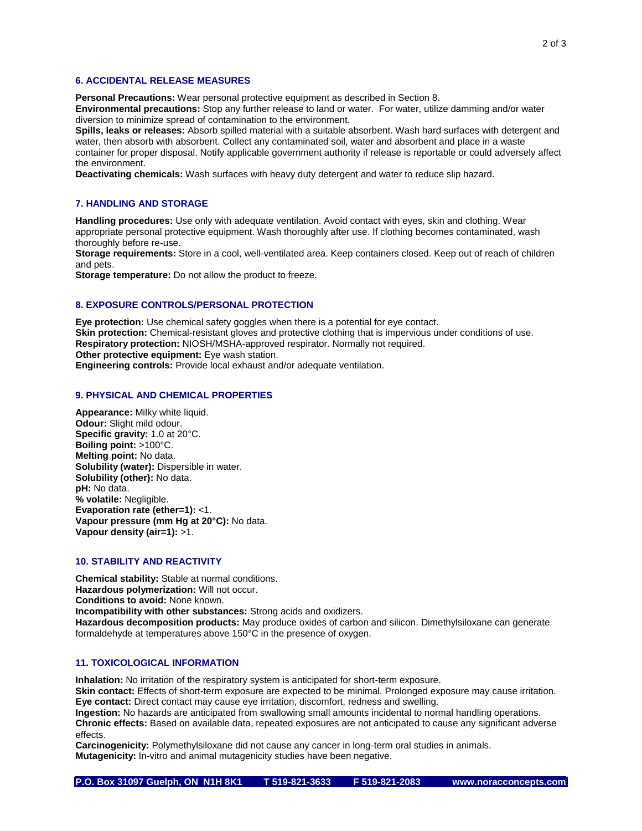# **6. ACCIDENTAL RELEASE MEASURES**

**Personal Precautions:** Wear personal protective equipment as described in Section 8.

**Environmental precautions:** Stop any further release to land or water. For water, utilize damming and/or water diversion to minimize spread of contamination to the environment.

**Spills, leaks or releases:** Absorb spilled material with a suitable absorbent. Wash hard surfaces with detergent and water, then absorb with absorbent. Collect any contaminated soil, water and absorbent and place in a waste container for proper disposal. Notify applicable government authority if release is reportable or could adversely affect the environment.

**Deactivating chemicals:** Wash surfaces with heavy duty detergent and water to reduce slip hazard.

# **7. HANDLING AND STORAGE**

**Handling procedures:** Use only with adequate ventilation. Avoid contact with eyes, skin and clothing. Wear appropriate personal protective equipment. Wash thoroughly after use. If clothing becomes contaminated, wash thoroughly before re-use.

**Storage requirements:** Store in a cool, well-ventilated area. Keep containers closed. Keep out of reach of children and pets.

**Storage temperature:** Do not allow the product to freeze.

#### **8. EXPOSURE CONTROLS/PERSONAL PROTECTION**

**Eye protection:** Use chemical safety goggles when there is a potential for eye contact. **Skin protection:** Chemical-resistant gloves and protective clothing that is impervious under conditions of use. **Respiratory protection:** NIOSH/MSHA-approved respirator. Normally not required. **Other protective equipment:** Eye wash station.

**Engineering controls:** Provide local exhaust and/or adequate ventilation.

#### **9. PHYSICAL AND CHEMICAL PROPERTIES**

**Appearance:** Milky white liquid. **Odour:** Slight mild odour. **Specific gravity:** 1.0 at 20°C. **Boiling point:** >100°C. **Melting point:** No data. **Solubility (water):** Dispersible in water. **Solubility (other):** No data. **pH:** No data. **% volatile:** Negligible. **Evaporation rate (ether=1):** <1. **Vapour pressure (mm Hg at 20°C):** No data. **Vapour density (air=1):** >1.

# **10. STABILITY AND REACTIVITY**

**Chemical stability:** Stable at normal conditions. **Hazardous polymerization:** Will not occur. **Conditions to avoid:** None known. **Incompatibility with other substances:** Strong acids and oxidizers. **Hazardous decomposition products:** May produce oxides of carbon and silicon. Dimethylsiloxane can generate formaldehyde at temperatures above 150°C in the presence of oxygen.

# **11. TOXICOLOGICAL INFORMATION**

**Inhalation:** No irritation of the respiratory system is anticipated for short-term exposure.

**Skin contact:** Effects of short-term exposure are expected to be minimal. Prolonged exposure may cause irritation. **Eye contact:** Direct contact may cause eye irritation, discomfort, redness and swelling.

**Ingestion:** No hazards are anticipated from swallowing small amounts incidental to normal handling operations. **Chronic effects:** Based on available data, repeated exposures are not anticipated to cause any significant adverse effects.

**Carcinogenicity:** Polymethylsiloxane did not cause any cancer in long-term oral studies in animals. **Mutagenicity:** In-vitro and animal mutagenicity studies have been negative.